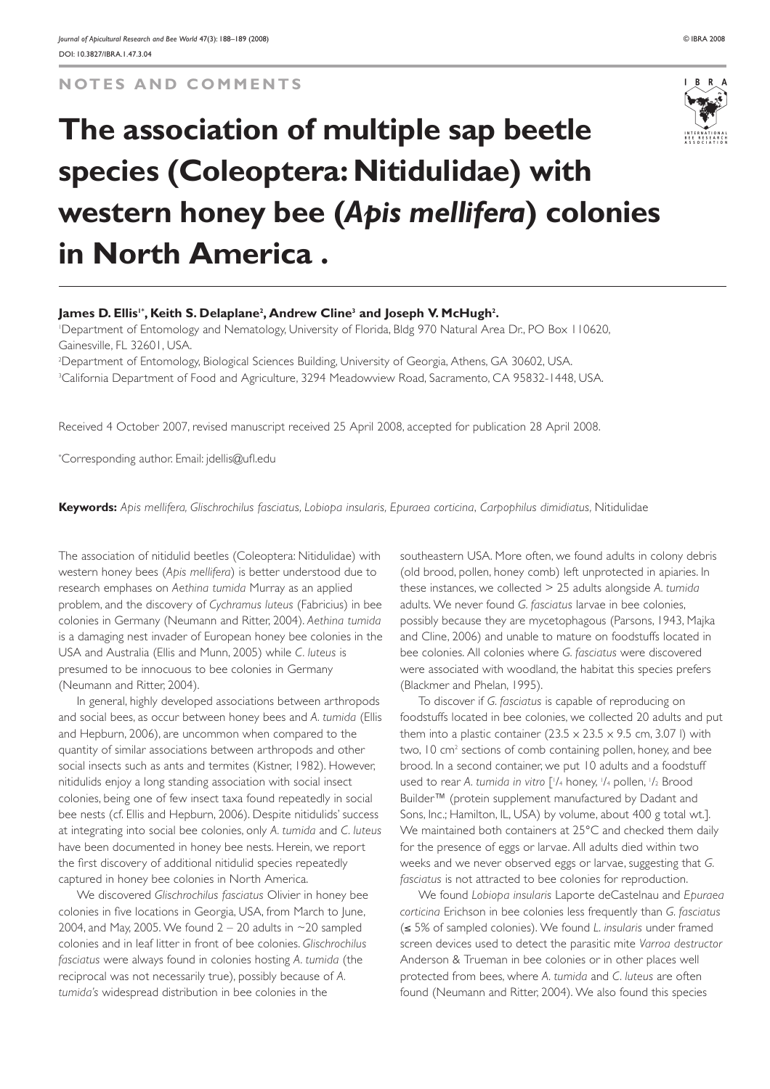**NOTES AND COMMENTS**

## **The association of multiple sap beetle species (Coleoptera: Nitidulidae) with western honey bee (***Apis mellifera***) colonies in North America .**

## James D. Ellis'\*, Keith S. Delaplane<sup>2</sup>, Andrew Cline<sup>3</sup> and Joseph V. McHugh<sup>2</sup>.

1 Department of Entomology and Nematology, University of Florida, Bldg 970 Natural Area Dr., PO Box 110620, Gainesville, FL 32601, USA.

2 Department of Entomology, Biological Sciences Building, University of Georgia, Athens, GA 30602, USA. 3 California Department of Food and Agriculture, 3294 Meadowview Road, Sacramento, CA 95832-1448, USA.

Received 4 October 2007, revised manuscript received 25 April 2008, accepted for publication 28 April 2008.

\* Corresponding author. Email: jdellis@ufl.edu

**Keywords:** *Apis mellifera, Glischrochilus fasciatus, Lobiopa insularis, Epuraea corticina*, *Carpophilus dimidiatus,* Nitidulidae

The association of nitidulid beetles (Coleoptera: Nitidulidae) with western honey bees (*Apis mellifera*) is better understood due to research emphases on *Aethina tumida* Murray as an applied problem, and the discovery of *Cychramus luteus* (Fabricius) in bee colonies in Germany (Neumann and Ritter, 2004). *Aethina tumida* is a damaging nest invader of European honey bee colonies in the USA and Australia (Ellis and Munn, 2005) while *C. luteus* is presumed to be innocuous to bee colonies in Germany (Neumann and Ritter, 2004).

In general, highly developed associations between arthropods and social bees, as occur between honey bees and *A. tumida* (Ellis and Hepburn, 2006), are uncommon when compared to the quantity of similar associations between arthropods and other social insects such as ants and termites (Kistner, 1982). However, nitidulids enjoy a long standing association with social insect colonies, being one of few insect taxa found repeatedly in social bee nests (cf. Ellis and Hepburn, 2006). Despite nitidulids' success at integrating into social bee colonies, only *A. tumida* and *C. luteus* have been documented in honey bee nests. Herein, we report the first discovery of additional nitidulid species repeatedly captured in honey bee colonies in North America.

We discovered *Glischrochilus fasciatus* Olivier in honey bee colonies in five locations in Georgia, USA, from March to June, 2004, and May, 2005. We found  $2 - 20$  adults in  $\sim$ 20 sampled colonies and in leaf litter in front of bee colonies. *Glischrochilus fasciatus* were always found in colonies hosting *A. tumida* (the reciprocal was not necessarily true), possibly because of *A. tumida's* widespread distribution in bee colonies in the

southeastern USA. More often, we found adults in colony debris (old brood, pollen, honey comb) left unprotected in apiaries. In these instances, we collected > 25 adults alongside *A. tumida* adults. We never found *G. fasciatus* larvae in bee colonies, possibly because they are mycetophagous (Parsons, 1943, Majka and Cline, 2006) and unable to mature on foodstuffs located in bee colonies. All colonies where *G. fasciatus* were discovered were associated with woodland, the habitat this species prefers (Blackmer and Phelan, 1995).

To discover if *G. fasciatus* is capable of reproducing on foodstuffs located in bee colonies, we collected 20 adults and put them into a plastic container ( $23.5 \times 23.5 \times 9.5$  cm, 3.07 l) with two, 10 cm<sup>2</sup> sections of comb containing pollen, honey, and bee brood. In a second container, we put 10 adults and a foodstuff used to rear A. tumida in vitro ['/4 honey, '/4 pollen, '/2 Brood Builder<sup>™</sup> (protein supplement manufactured by Dadant and Sons, Inc.; Hamilton, IL, USA) by volume, about 400 g total wt.]. We maintained both containers at 25°C and checked them daily for the presence of eggs or larvae. All adults died within two weeks and we never observed eggs or larvae, suggesting that *G. fasciatus* is not attracted to bee colonies for reproduction.

We found *Lobiopa insularis* Laporte deCastelnau and *Epuraea corticina* Erichson in bee colonies less frequently than *G. fasciatus* (≤ 5% of sampled colonies). We found *L. insularis* under framed screen devices used to detect the parasitic mite *Varroa destructor* Anderson & Trueman in bee colonies or in other places well protected from bees, where *A. tumida* and *C. luteus* are often found (Neumann and Ritter, 2004). We also found this species